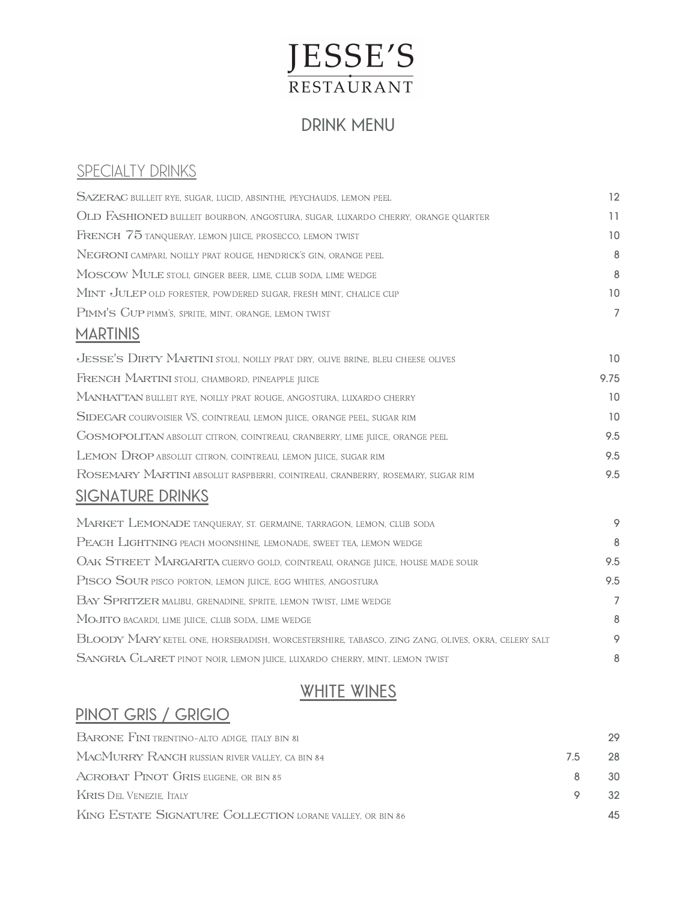# JESSE'S RESTAURANT

## **DRINK MENU**

## **SPECIALTY DRINKS**

| <b>SAZERAC</b> BULLEIT RYE, SUGAR, LUCID, ABSINTHE, PEYCHAUDS, LEMON PEEL                         | 12             |
|---------------------------------------------------------------------------------------------------|----------------|
| OLD FASHIONED BULLEIT BOURBON, ANGOSTURA, SUGAR, LUXARDO CHERRY, ORANGE QUARTER                   | 11             |
| FRENCH 75 TANQUERAY, LEMON JUICE, PROSECCO, LEMON TWIST                                           | 10             |
| NEGRONI CAMPARI, NOILLY PRAT ROUGE, HENDRICK'S GIN, ORANGE PEEL                                   | 8              |
| MOSCOW MULE STOLI, GINGER BEER, LIME, CLUB SODA, LIME WEDGE                                       | 8              |
| MINT JULEP OLD FORESTER, POWDERED SUGAR, FRESH MINT, CHALICE CUP                                  | 10             |
| PIMM'S GUP PIMM'S, SPRITE, MINT, ORANGE, LEMON TWIST                                              | $\overline{7}$ |
| <b>MARTINIS</b>                                                                                   |                |
| JESSE'S DIRTY MARTINI STOLI, NOILLY PRAT DRY, OLIVE BRINE, BLEU CHEESE OLIVES                     | 10             |
| FRENCH MARTINI STOLI, CHAMBORD, PINEAPPLE JUICE                                                   | 9.75           |
| MANHATTAN BULLEIT RYE, NOILLY PRAT ROUGE, ANGOSTURA, LUXARDO CHERRY                               | 10             |
| SIDECAR COURVOISIER VS, COINTREAU, LEMON JUICE, ORANGE PEEL, SUGAR RIM                            | 10             |
| <b>COSMOPOLITAN</b> ABSOLUT CITRON, COINTREAU, CRANBERRY, LIME JUICE, ORANGE PEEL                 | 9.5            |
| LEMON DROP ABSOLUT CITRON, COINTREAU, LEMON JUICE, SUGAR RIM                                      | 9.5            |
| ROSEMARY MARTINI ABSOLUT RASPBERRI, COINTREAU, CRANBERRY, ROSEMARY, SUGAR RIM                     | 9.5            |
| <b>SIGNATURE DRINKS</b>                                                                           |                |
| MARKET LEMONADE TANQUERAY, ST. GERMAINE, TARRAGON, LEMON, CLUB SODA                               | 9              |
| PEACH LIGHTNING PEACH MOONSHINE, LEMONADE, SWEET TEA, LEMON WEDGE                                 | 8              |
| OAK STREET MARGARITA CUERVO GOLD, COINTREAU, ORANGE JUICE, HOUSE MADE SOUR                        | 9.5            |
| PISCO SOUR PISCO PORTON, LEMON JUICE, EGG WHITES, ANGOSTURA                                       | 9.5            |
| BAY SPRITZER MALIBU, GRENADINE, SPRITE, LEMON TWIST, LIME WEDGE                                   | $\overline{7}$ |
| MOJITO BACARDI, LIME JUICE, CLUB SODA, LIME WEDGE                                                 | 8              |
| BLOODY MARY KETEL ONE, HORSERADISH, WORCESTERSHIRE, TABASCO, ZING ZANG, OLIVES, OKRA, CELERY SALT | 9              |
| SANGRIA CLARET PINOT NOIR, LEMON JUICE, LUXARDO CHERRY, MINT, LEMON TWIST                         | 8              |

## **WHITE WINES**

#### **PINOT GRIS / GRIGIO**

| <b>BARONE FINI</b> TRENTINO-ALTO ADIGE, ITALY BIN 81      |     | 29  |
|-----------------------------------------------------------|-----|-----|
| MACMURRY RANGH RUSSIAN RIVER VALLEY, CA BIN 84            | 7.5 | 28  |
| ACROBAT PINOT GRIS EUGENE, OR BIN 85                      |     | 30. |
| KRIS DEL VENEZIE. ITALY                                   |     | 32. |
| KING ESTATE SIGNATURE COLLECTION LORANE VALLEY, OR BIN 86 |     | 45  |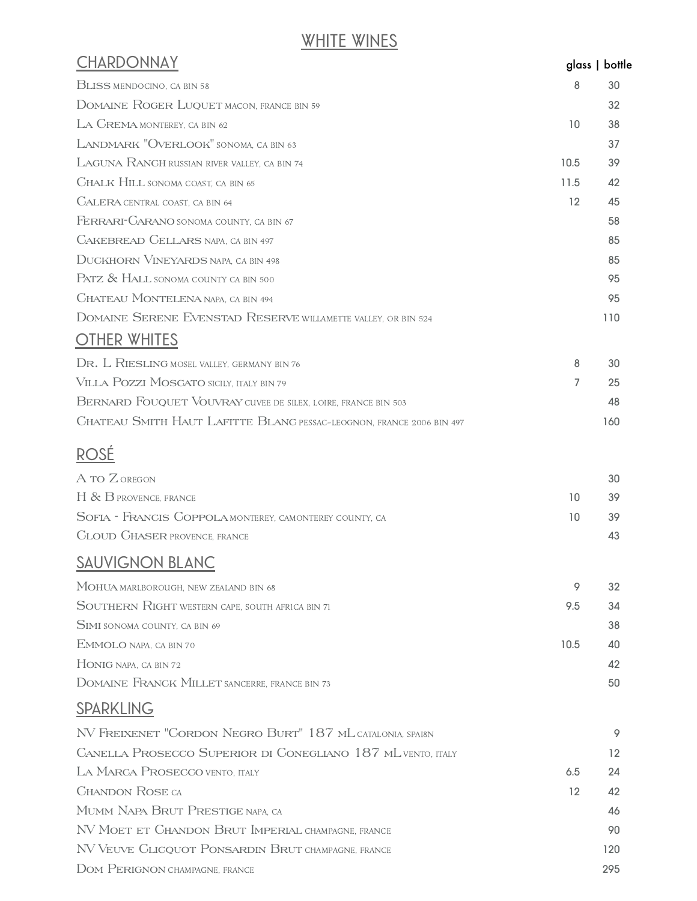# **WHITE WINES**

| <b>CHARDONNAY</b>                                                    |                   | glass   bottle |
|----------------------------------------------------------------------|-------------------|----------------|
| <b>BLISS MENDOCINO, CA BIN 58</b>                                    | 8                 | 30             |
| DOMAINE ROGER LUQUET MACON, FRANCE BIN 59                            |                   | 32             |
| LA GREMA MONTEREY, CA BIN 62                                         | 10                | 38             |
| LANDMARK "OVERLOOK" SONOMA, CA BIN 63                                |                   | 37             |
| LAGUNA RANCH RUSSIAN RIVER VALLEY, CA BIN 74                         | 10.5              | 39             |
| <b>CHALK HILL SONOMA COAST, CA BIN 65</b>                            | 11.5              | 42             |
| <b>CALERA CENTRAL COAST, CA BIN 64</b>                               | $12 \overline{ }$ | 45             |
| FERRARI-CARANO SONOMA COUNTY, CA BIN 67                              |                   | 58             |
| <b>CAKEBREAD CELLARS NAPA, CA BIN 497</b>                            |                   | 85             |
| <b>DUCKHORN VINEYARDS NAPA, CA BIN 498</b>                           |                   | 85             |
| PATZ & HALL SONOMA COUNTY CA BIN 500                                 |                   | 95             |
| <b>CHATEAU MONTELENA NAPA. CA BIN 494</b>                            |                   | 95             |
| DOMAINE SERENE EVENSTAD RESERVE WILLAMETTE VALLEY, OR BIN 524        |                   | 110            |
| <b>OTHER WHITES</b>                                                  |                   |                |
| DR. L RIESLING MOSEL VALLEY, GERMANY BIN 76                          | 8                 | 30             |
| VILLA POZZI MOSCATO SICILY, ITALY BIN 79                             | 7                 | 25             |
| BERNARD FOUQUET VOUVRAY CUVEE DE SILEX, LOIRE, FRANCE BIN 503        |                   | 48             |
| CHATEAU SMITH HAUT LAFITTE BLANC PESSAC-LEOGNON. FRANCE 2006 BIN 497 |                   | 160            |
| <b>ROSÉ</b>                                                          |                   |                |
| A TO Z OREGON                                                        |                   | 30             |
| H & B PROVENCE, FRANCE                                               | 10                | 39             |
| SOFIA - FRANCIS COPPOLA MONTEREY, CAMONTEREY COUNTY, CA              | 10                | 39             |
| <b>CLOUD CHASER PROVENCE, FRANCE</b>                                 |                   | 43             |
| <b>SAUVIGNON BLANC</b>                                               |                   |                |
| MOHUA MARLBOROUGH, NEW ZEALAND BIN 68                                | 9                 | 32             |
| SOUTHERN RIGHT WESTERN CAPE, SOUTH AFRICA BIN 71                     | 9.5               | 34             |
| <b>SIMI</b> SONOMA COUNTY, CA BIN 69                                 |                   | 38             |
| EMMOLO NAPA, CA BIN 70                                               | 10.5              | 40             |
| HONIG NAPA, CA BIN 72                                                |                   | 42             |
| DOMAINE FRANCK MILLET SANCERRE, FRANCE BIN 73                        |                   | 50             |
| <b>SPARKLING</b>                                                     |                   |                |
| NV FREIXENET "CORDON NEGRO BURT" 187 ML CATALONIA, SPAI8N            |                   | 9              |
| <b>CANELLA PROSECCO SUPERIOR DI CONEGLIANO 187 ML VENTO, ITALY</b>   |                   | 12             |
| LA MARCA PROSECCO VENTO, ITALY                                       | 6.5               | 24             |
| <b>CHANDON ROSE CA</b>                                               | $12 \overline{ }$ | 42             |
| MUMM NAPA BRUT PRESTIGE NAPA, CA                                     |                   | 46             |
| NV MOET ET CHANDON BRUT IMPERIAL CHAMPAGNE, FRANCE                   |                   | 90             |
| NV VEUVE CLICQUOT PONSARDIN BRUT CHAMPAGNE, FRANCE                   |                   | 120            |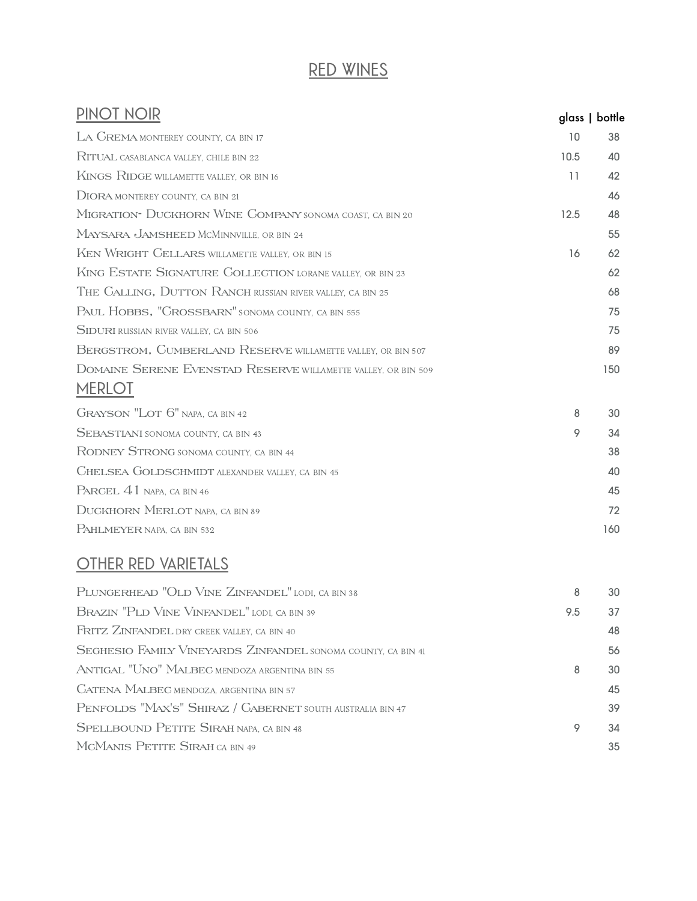## **RED WINES**

| PINOT NOIR                                                                     | glass   bottle |     |
|--------------------------------------------------------------------------------|----------------|-----|
| LA GREMA MONTEREY COUNTY, CA BIN 17                                            | 10             | 38  |
| RITUAL CASABLANCA VALLEY, CHILE BIN 22                                         | 10.5           | 40  |
| KINGS RIDGE WILLAMETTE VALLEY, OR BIN 16                                       | 11             | 42  |
| <b>DIORA MONTEREY COUNTY. CA BIN 21</b>                                        |                | 46  |
| MIGRATION- DUCKHORN WINE COMPANY SONOMA COAST, CA BIN 20                       | 12.5           | 48  |
| MAYSARA JAMSHEED MCMINNVILLE, OR BIN 24                                        |                | 55  |
| KEN WRIGHT CELLARS WILLAMETTE VALLEY, OR BIN 15                                | 16             | 62  |
| KING ESTATE SIGNATURE COLLECTION LORANE VALLEY, OR BIN 23                      |                | 62  |
| THE CALLING, DUTTON RANCH RUSSIAN RIVER VALLEY, CA BIN 25                      |                | 68  |
| PAUL HOBBS, "CROSSBARN" SONOMA COUNTY, CA BIN 555                              |                | 75  |
| <b>SIDURI</b> RUSSIAN RIVER VALLEY, CA BIN 506                                 |                | 75  |
| BERGSTROM, CUMBERLAND RESERVE WILLAMETTE VALLEY, OR BIN 507                    |                | 89  |
| DOMAINE SERENE EVENSTAD RESERVE WILLAMETTE VALLEY, OR BIN 509<br><b>MERLOT</b> |                | 150 |
| <b>GRAYSON "LOT 6" NAPA, CA BIN 42</b>                                         | 8              | 30  |
| <b>SEBASTIANI</b> SONOMA COUNTY, CA BIN 43                                     | 9              | 34  |
| RODNEY STRONG SONOMA COUNTY, CA BIN 44                                         |                | 38  |
| <b>CHELSEA GOLDSCHMIDT ALEXANDER VALLEY, CA BIN 45</b>                         |                | 40  |
| PARCEL 41 NAPA, CA BIN 46                                                      |                | 45  |
| <b>DUCKHORN MERLOT NAPA, CA BIN 89</b>                                         |                | 72  |
| PAHLMEYER NAPA. CA BIN 532                                                     |                | 160 |

#### **OTHER RED VARIETALS**

| PLUNGERHEAD "OLD VINE ZINFANDEL" LODI, CA BIN 38             | 8   | 30 |
|--------------------------------------------------------------|-----|----|
| BRAZIN "PLD VINE VINFANDEL" LODI, CA BIN 39                  | 9.5 | 37 |
| FRITZ ZINFANDEL DRY CREEK VALLEY, CA BIN 40                  |     | 48 |
| SEGHESIO FAMILY VINEYARDS ZINFANDEL SONOMA COUNTY, CA BIN 41 |     | 56 |
| ANTIGAL "UNO" MALBEC MENDOZA ARGENTINA BIN 55                | 8   | 30 |
| <b>CATENA MALBEC MENDOZA, ARGENTINA BIN 57</b>               |     | 45 |
| PENFOLDS "MAX'S" SHIRAZ / CABERNET SOUTH AUSTRALIA BIN 47    |     | 39 |
| SPELLBOUND PETITE SIRAH NAPA, CA BIN 48                      | 9   | 34 |
| MCMANIS PETITE SIRAH CA BIN 49                               |     | 35 |